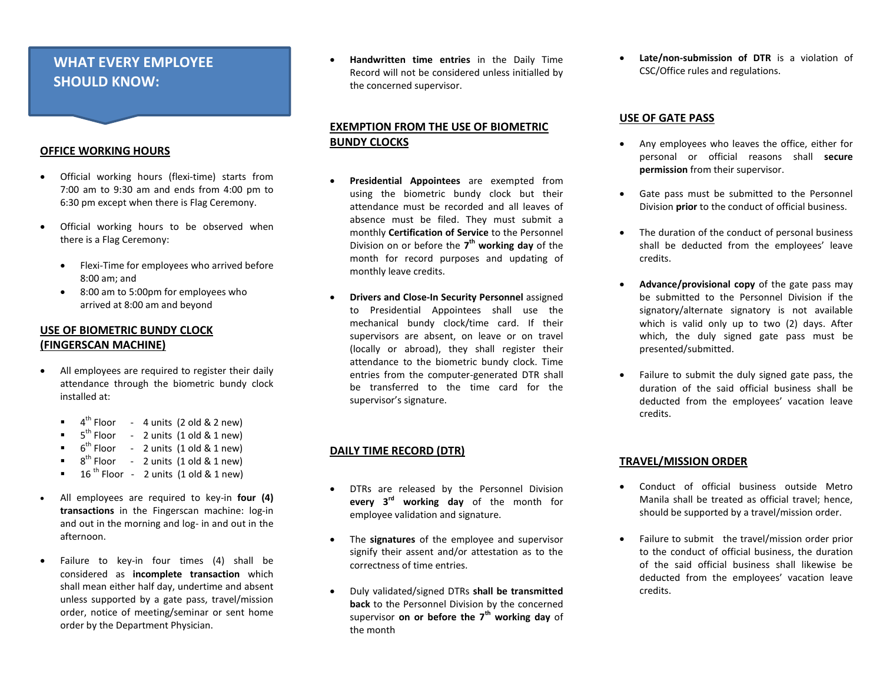# **WHAT EVERY EMPLOYEE SHOULD KNOW:**

#### **OFFICE WORKING HOURS**

- Official working hours (flexi-time) starts from 7:00 am to 9:30 am and ends from 4:00 pm to 6:30 pm except when there is Flag Ceremony.
- Official working hours to be observed when there is a Flag Ceremony:
	- Flexi-Time for employees who arrived before 8:00 am; and
	- 8:00 am to 5:00pm for employees who arrived at 8:00 am and beyond

## **USE OF BIOMETRIC BUNDY CLOCK (FINGERSCAN MACHINE)**

- All employees are required to register their daily attendance through the biometric bundy clock installed at:
	- $\bullet$  4<sup>th</sup> Floor 4 units (2 old & 2 new)
	- $\blacksquare$  5<sup>th</sup> Floor 2 units (1 old & 1 new)
	- $\bullet$  6<sup>th</sup> Floor 2 units (1 old & 1 new)
	- $\bullet$  8<sup>th</sup> Floor 2 units (1 old & 1 new)
	- $16$ <sup>th</sup> Floor 2 units (1 old & 1 new)
- All employees are required to key-in **four (4) transactions** in the Fingerscan machine: log-in and out in the morning and log- in and out in the afternoon.
- Failure to key-in four times (4) shall be considered as **incomplete transaction** which shall mean either half day, undertime and absent unless supported by a gate pass, travel/mission order, notice of meeting/seminar or sent home order by the Department Physician.

 **Handwritten time entries** in the Daily Time Record will not be considered unless initialled by the concerned supervisor.

### **EXEMPTION FROM THE USE OF BIOMETRIC BUNDY CLOCKS**

- **Presidential Appointees** are exempted from using the biometric bundy clock but their attendance must be recorded and all leaves of absence must be filed. They must submit a monthly **Certification of Service** to the Personnel Division on or before the **7 th working day** of the month for record purposes and updating of monthly leave credits.
- **Drivers and Close-In Security Personnel** assigned to Presidential Appointees shall use the mechanical bundy clock/time card. If their supervisors are absent, on leave or on travel (locally or abroad), they shall register their attendance to the biometric bundy clock. Time entries from the computer-generated DTR shall be transferred to the time card for the supervisor's signature.

### **DAILY TIME RECORD (DTR)**

- DTRs are released by the Personnel Division **every 3rd working day** of the month for employee validation and signature.
- The **signatures** of the employee and supervisor signify their assent and/or attestation as to the correctness of time entries.
- Duly validated/signed DTRs **shall be transmitted back** to the Personnel Division by the concerned supervisor **on or before the 7 th working day** of the month

 **Late/non-submission of DTR** is a violation of CSC/Office rules and regulations.

#### **USE OF GATE PASS**

- Any employees who leaves the office, either for personal or official reasons shall **secure permission** from their supervisor.
- Gate pass must be submitted to the Personnel Division **prior** to the conduct of official business.
- The duration of the conduct of personal business shall be deducted from the employees' leave credits.
- **Advance/provisional copy** of the gate pass may be submitted to the Personnel Division if the signatory/alternate signatory is not available which is valid only up to two (2) days. After which, the duly signed gate pass must be presented/submitted.
- Failure to submit the duly signed gate pass, the duration of the said official business shall be deducted from the employees' vacation leave credits.

### **TRAVEL/MISSION ORDER**

- Conduct of official business outside Metro Manila shall be treated as official travel; hence, should be supported by a travel/mission order.
- Failure to submit the travel/mission order prior to the conduct of official business, the duration of the said official business shall likewise be deducted from the employees' vacation leave credits.